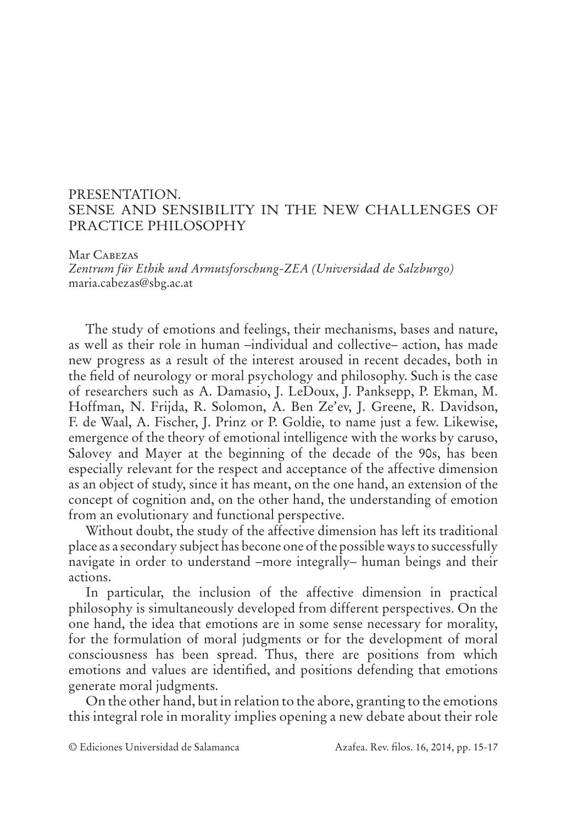## PRESENTATION. SENSE AND SENSIBILITY IN THE NEW CHALLENGES OF PRACTICE PHILOSOPHY

Mar Cabezas *Zentrum für Ethik und Armutsforschung-ZEA (Universidad de Salzburgo)* maria.cabezas@sbg.ac.at

The study of emotions and feelings, their mechanisms, bases and nature, as well as their role in human –individual and collective– action, has made new progress as a result of the interest aroused in recent decades, both in the field of neurology or moral psychology and philosophy. Such is the case of researchers such as A. Damasio, J. LeDoux, J. Panksepp, P. Ekman, M. Hoffman, N. Frijda, R. Solomon, A. Ben Ze'ev, J. Greene, R. Davidson, F. de Waal, A. Fischer, J. Prinz or P. Goldie, to name just a few. Likewise, emergence of the theory of emotional intelligence with the works by caruso, Salovey and Mayer at the beginning of the decade of the 90s, has been especially relevant for the respect and acceptance of the affective dimension as an object of study, since it has meant, on the one hand, an extension of the concept of cognition and, on the other hand, the understanding of emotion from an evolutionary and functional perspective.

Without doubt, the study of the affective dimension has left its traditional place as a secondary subject has becone one of the possible ways to successfully navigate in order to understand –more integrally– human beings and their actions.

In particular, the inclusion of the affective dimension in practical philosophy is simultaneously developed from different perspectives. On the one hand, the idea that emotions are in some sense necessary for morality, for the formulation of moral judgments or for the development of moral consciousness has been spread. Thus, there are positions from which emotions and values are identified, and positions defending that emotions generate moral judgments.

On the other hand, but in relation to the abore, granting to the emotions this integral role in morality implies opening a new debate about their role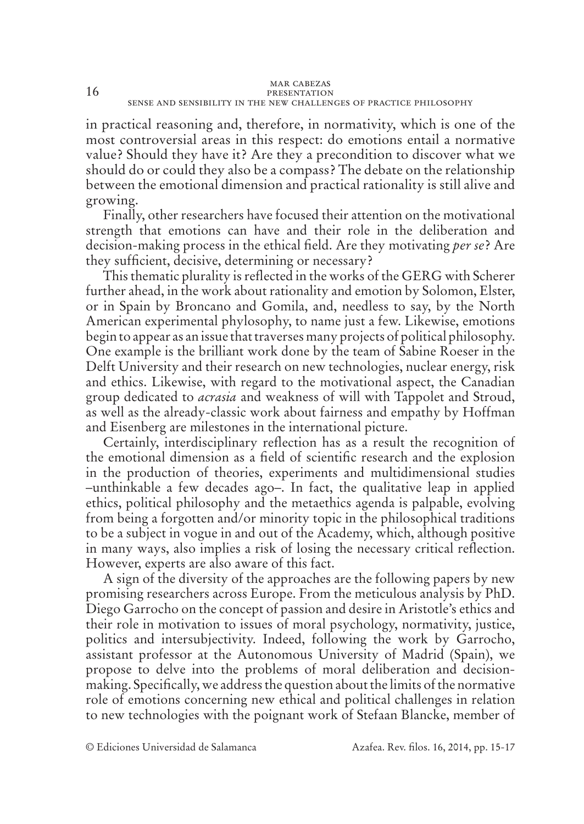in practical reasoning and, therefore, in normativity, which is one of the most controversial areas in this respect: do emotions entail a normative value? Should they have it? Are they a precondition to discover what we should do or could they also be a compass? The debate on the relationship between the emotional dimension and practical rationality is still alive and growing.

Finally, other researchers have focused their attention on the motivational strength that emotions can have and their role in the deliberation and decision-making process in the ethical field. Are they motivating *per se*? Are they sufficient, decisive, determining or necessary?

This thematic plurality is reflected in the works of the GERG with Scherer further ahead, in the work about rationality and emotion by Solomon, Elster, or in Spain by Broncano and Gomila, and, needless to say, by the North American experimental phylosophy, to name just a few. Likewise, emotions begin to appear as an issue that traverses many projects of political philosophy. One example is the brilliant work done by the team of Sabine Roeser in the Delft University and their research on new technologies, nuclear energy, risk and ethics. Likewise, with regard to the motivational aspect, the Canadian group dedicated to *acrasia* and weakness of will with Tappolet and Stroud, as well as the already-classic work about fairness and empathy by Hoffman and Eisenberg are milestones in the international picture.

Certainly, interdisciplinary reflection has as a result the recognition of the emotional dimension as a field of scientific research and the explosion in the production of theories, experiments and multidimensional studies –unthinkable a few decades ago–. In fact, the qualitative leap in applied ethics, political philosophy and the metaethics agenda is palpable, evolving from being a forgotten and/or minority topic in the philosophical traditions to be a subject in vogue in and out of the Academy, which, although positive in many ways, also implies a risk of losing the necessary critical reflection. However, experts are also aware of this fact.

A sign of the diversity of the approaches are the following papers by new promising researchers across Europe. From the meticulous analysis by PhD. Diego Garrocho on the concept of passion and desire in Aristotle's ethics and their role in motivation to issues of moral psychology, normativity, justice, politics and intersubjectivity. Indeed, following the work by Garrocho, assistant professor at the Autonomous University of Madrid (Spain), we propose to delve into the problems of moral deliberation and decisionmaking. Specifically, we address the question about the limits of the normative role of emotions concerning new ethical and political challenges in relation to new technologies with the poignant work of Stefaan Blancke, member of